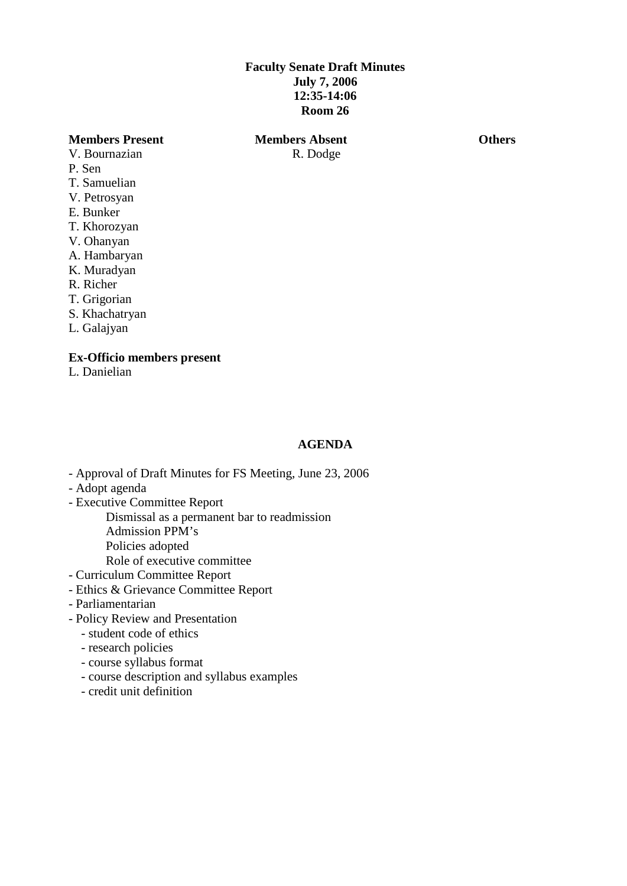# **Faculty Senate Draft Minutes July 7, 2006 12:35-14:06 Room 26**

## **Members Present Members Absent Others**

- V. Bournazian R. Dodge P. Sen T. Samuelian V. Petrosyan E. Bunker T. Khorozyan
- V. Ohanyan
- A. Hambaryan
- K. Muradyan
- R. Richer
- T. Grigorian
- S. Khachatryan
- L. Galajyan

## **Ex-Officio members present**

L. Danielian

## **AGENDA**

- Approval of Draft Minutes for FS Meeting, June 23, 2006
- Adopt agenda
- Executive Committee Report
	- Dismissal as a permanent bar to readmission Admission PPM's
	- Policies adopted
	- Role of executive committee
- Curriculum Committee Report
- Ethics & Grievance Committee Report
- Parliamentarian
- Policy Review and Presentation
	- student code of ethics
	- research policies
	- course syllabus format
	- course description and syllabus examples
	- credit unit definition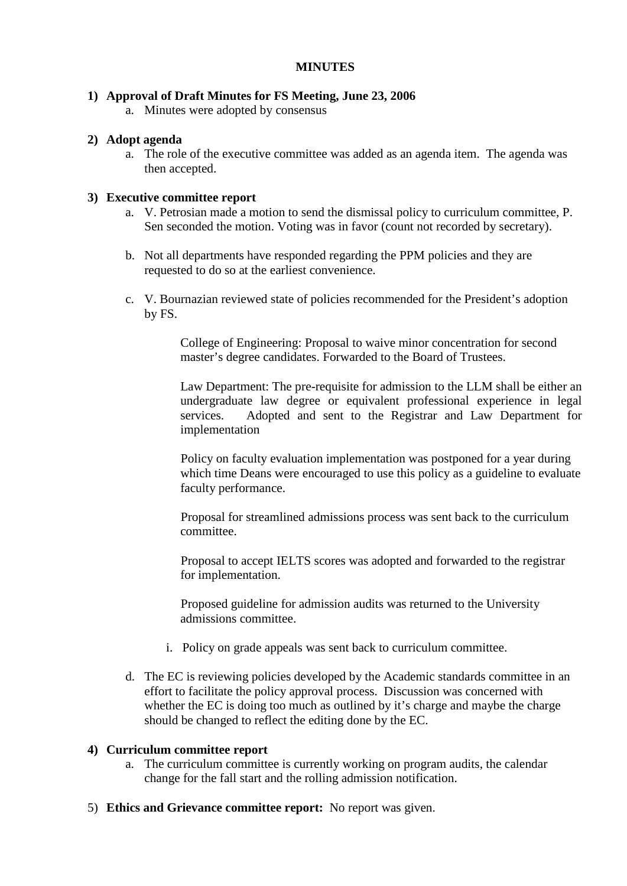# **MINUTES**

# **1) Approval of Draft Minutes for FS Meeting, June 23, 2006**

a. Minutes were adopted by consensus

## **2) Adopt agenda**

a. The role of the executive committee was added as an agenda item. The agenda was then accepted.

# **3) Executive committee report**

- a. V. Petrosian made a motion to send the dismissal policy to curriculum committee, P. Sen seconded the motion. Voting was in favor (count not recorded by secretary).
- b. Not all departments have responded regarding the PPM policies and they are requested to do so at the earliest convenience.
- c. V. Bournazian reviewed state of policies recommended for the President's adoption by FS.

College of Engineering: Proposal to waive minor concentration for second master's degree candidates. Forwarded to the Board of Trustees.

Law Department: The pre-requisite for admission to the LLM shall be either an undergraduate law degree or equivalent professional experience in legal services. Adopted and sent to the Registrar and Law Department for implementation

Policy on faculty evaluation implementation was postponed for a year during which time Deans were encouraged to use this policy as a guideline to evaluate faculty performance.

Proposal for streamlined admissions process was sent back to the curriculum committee.

Proposal to accept IELTS scores was adopted and forwarded to the registrar for implementation.

Proposed guideline for admission audits was returned to the University admissions committee.

- i. Policy on grade appeals was sent back to curriculum committee.
- d. The EC is reviewing policies developed by the Academic standards committee in an effort to facilitate the policy approval process. Discussion was concerned with whether the EC is doing too much as outlined by it's charge and maybe the charge should be changed to reflect the editing done by the EC.

#### **4) Curriculum committee report**

- a. The curriculum committee is currently working on program audits, the calendar change for the fall start and the rolling admission notification.
- 5) **Ethics and Grievance committee report:** No report was given.